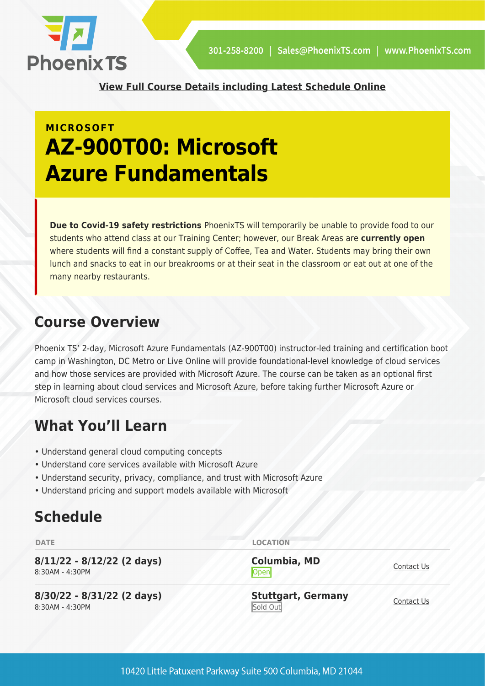

**[View Full Course Details including Latest Schedule Online](https://phoenixts.com/training-courses/microsoft-azure-fundamentals-az-900t01/)**

# **MICROSOFT AZ-900T00: Microsoft Azure Fundamentals**

**Due to Covid-19 safety restrictions** PhoenixTS will temporarily be unable to provide food to our students who attend class at our Training Center; however, our Break Areas are **currently open** where students will find a constant supply of Coffee, Tea and Water. Students may bring their own lunch and snacks to eat in our breakrooms or at their seat in the classroom or eat out at one of the many nearby restaurants.

## **Course Overview**

Phoenix TS' 2-day, Microsoft Azure Fundamentals (AZ-900T00) instructor-led training and certification boot camp in Washington, DC Metro or Live Online will provide foundational-level knowledge of cloud services and how those services are provided with Microsoft Azure. The course can be taken as an optional first step in learning about cloud services and Microsoft Azure, before taking further Microsoft Azure or Microsoft cloud services courses.

# **What You'll Learn**

- Understand general cloud computing concepts
- Understand core services available with Microsoft Azure
- Understand security, privacy, compliance, and trust with Microsoft Azure
- Understand pricing and support models available with Microsoft

# **Schedule**

| <b>DATE</b>                                     | <b>LOCATION</b>                       |            |
|-------------------------------------------------|---------------------------------------|------------|
| $8/11/22 - 8/12/22$ (2 days)<br>8:30AM - 4:30PM | <b>Columbia, MD</b><br>Open           | Contact Us |
| $8/30/22 - 8/31/22$ (2 days)<br>8:30AM - 4:30PM | <b>Stuttgart, Germany</b><br>Sold Out | Contact Us |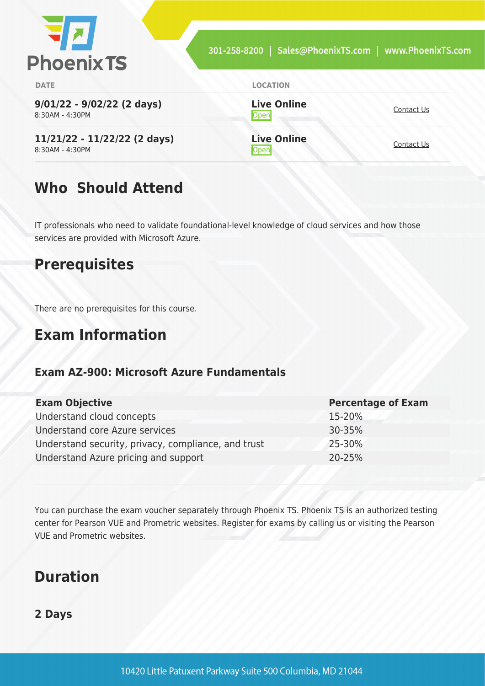| <b>PhoenixTS</b>                                | 301-258-8200   Sales@PhoenixTS.com   www.PhoenixTS.com |            |
|-------------------------------------------------|--------------------------------------------------------|------------|
| <b>DATE</b>                                     | <b>LOCATION</b>                                        |            |
| $9/01/22 - 9/02/22$ (2 days)<br>8:30AM - 4:30PM | <b>Live Online</b><br>Open                             | Contact Us |
| 11/21/22 - 11/22/22 (2 days)<br>8:30AM - 4:30PM | <b>Live Online</b>                                     | Contact Us |

# **Who Should Attend**

IT professionals who need to validate foundational-level knowledge of cloud services and how those services are provided with Microsoft Azure.

## **Prerequisites**

There are no prerequisites for this course.

## **Exam Information**

#### **Exam AZ-900: Microsoft Azure Fundamentals**

| <b>Exam Objective</b>                               | <b>Percentage of Exam</b> |
|-----------------------------------------------------|---------------------------|
| Understand cloud concepts                           | 15-20%                    |
| Understand core Azure services                      | 30-35%                    |
| Understand security, privacy, compliance, and trust | 25-30%                    |
| Understand Azure pricing and support                | 20-25%                    |

You can purchase the exam voucher separately through Phoenix TS. Phoenix TS is an authorized testing center for Pearson VUE and Prometric websites. Register for exams by calling us or visiting the Pearson VUE and Prometric websites.

## **Duration**

#### **2 Days**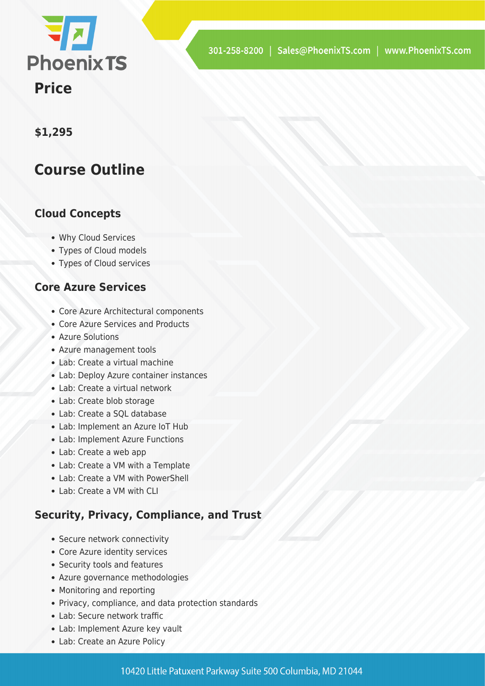

#### **\$1,295**

### **Course Outline**

#### **Cloud Concepts**

- Why Cloud Services
- Types of Cloud models
- Types of Cloud services

#### **Core Azure Services**

- Core Azure Architectural components
- Core Azure Services and Products
- Azure Solutions
- Azure management tools
- Lab: Create a virtual machine
- Lab: Deploy Azure container instances
- Lab: Create a virtual network
- Lab: Create blob storage
- Lab: Create a SQL database
- Lab: Implement an Azure IoT Hub
- Lab: Implement Azure Functions
- Lab: Create a web app
- Lab: Create a VM with a Template
- Lab: Create a VM with PowerShell
- Lab: Create a VM with CLI

#### **Security, Privacy, Compliance, and Trust**

- Secure network connectivity
- Core Azure identity services
- Security tools and features
- Azure governance methodologies
- Monitoring and reporting
- Privacy, compliance, and data protection standards
- Lab: Secure network traffic
- Lab: Implement Azure key vault
- Lab: Create an Azure Policy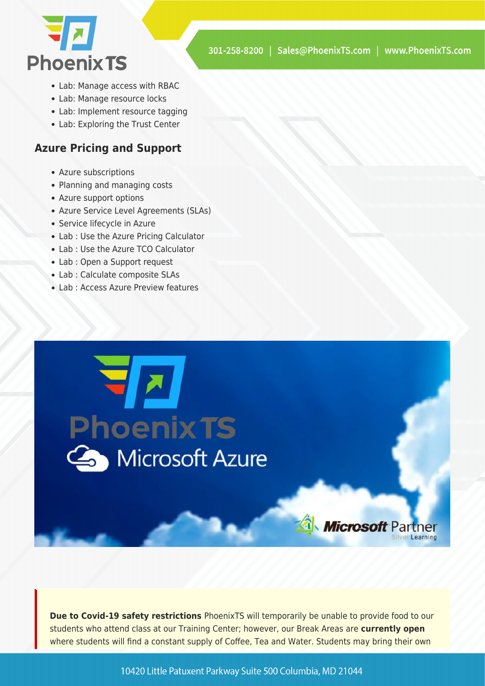

- Lab: Manage access with RBAC
- Lab: Manage resource locks
- Lab: Implement resource tagging
- Lab: Exploring the Trust Center

#### **Azure Pricing and Support**

- Azure subscriptions
- Planning and managing costs
- Azure support options
- Azure Service Level Agreements (SLAs)
- Service lifecycle in Azure
- Lab : Use the Azure Pricing Calculator
- Lab : Use the Azure TCO Calculator
- Lab : Open a Support request
- Lab : Calculate composite SLAs
- Lab : Access Azure Preview features



**Due to Covid-19 safety restrictions** PhoenixTS will temporarily be unable to provide food to our students who attend class at our Training Center; however, our Break Areas are **currently open** where students will find a constant supply of Coffee, Tea and Water. Students may bring their own

10420 Little Patuxent Parkway Suite 500 Columbia, MD 21044